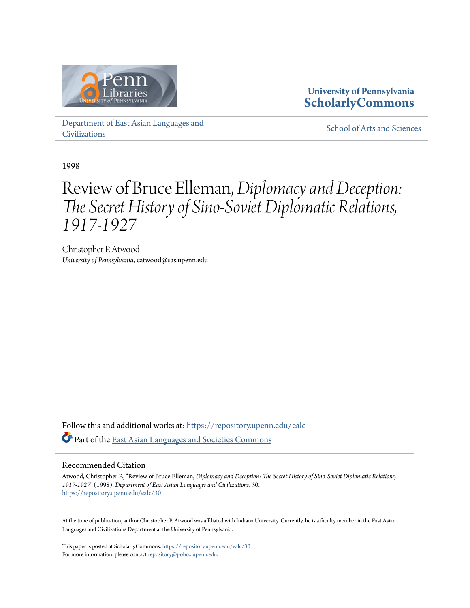

### **University of Pennsylvania [ScholarlyCommons](https://repository.upenn.edu?utm_source=repository.upenn.edu%2Fealc%2F30&utm_medium=PDF&utm_campaign=PDFCoverPages)**

[Department of East Asian Languages and](https://repository.upenn.edu/ealc?utm_source=repository.upenn.edu%2Fealc%2F30&utm_medium=PDF&utm_campaign=PDFCoverPages) [Civilizations](https://repository.upenn.edu/ealc?utm_source=repository.upenn.edu%2Fealc%2F30&utm_medium=PDF&utm_campaign=PDFCoverPages)

[School of Arts and Sciences](https://repository.upenn.edu/sas?utm_source=repository.upenn.edu%2Fealc%2F30&utm_medium=PDF&utm_campaign=PDFCoverPages)

1998

### Review of Bruce Elleman, *Diplomacy and Deception: The Secret History of Sino-Soviet Diplomatic Relations, 1917-1927*

Christopher P. Atwood *University of Pennsylvania*, catwood@sas.upenn.edu

Follow this and additional works at: [https://repository.upenn.edu/ealc](https://repository.upenn.edu/ealc?utm_source=repository.upenn.edu%2Fealc%2F30&utm_medium=PDF&utm_campaign=PDFCoverPages) Part of the [East Asian Languages and Societies Commons](http://network.bepress.com/hgg/discipline/481?utm_source=repository.upenn.edu%2Fealc%2F30&utm_medium=PDF&utm_campaign=PDFCoverPages)

#### Recommended Citation

Atwood, Christopher P., "Review of Bruce Elleman, *Diplomacy and Deception: The Secret History of Sino-Soviet Diplomatic Relations, 1917-1927*" (1998). *Department of East Asian Languages and Civilizations*. 30. [https://repository.upenn.edu/ealc/30](https://repository.upenn.edu/ealc/30?utm_source=repository.upenn.edu%2Fealc%2F30&utm_medium=PDF&utm_campaign=PDFCoverPages)

At the time of publication, author Christopher P. Atwood was affiliated with Indiana University. Currently, he is a faculty member in the East Asian Languages and Civilizations Department at the University of Pennsylvania.

This paper is posted at ScholarlyCommons. <https://repository.upenn.edu/ealc/30> For more information, please contact [repository@pobox.upenn.edu.](mailto:repository@pobox.upenn.edu)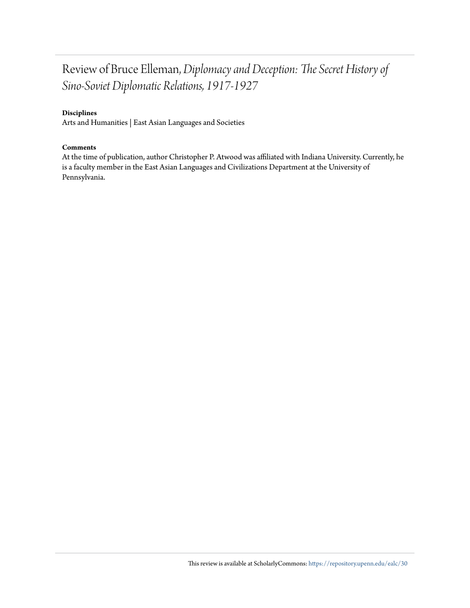### Review of Bruce Elleman, *Diplomacy and Deception: The Secret History of Sino-Soviet Diplomatic Relations, 1917-1927*

#### **Disciplines**

Arts and Humanities | East Asian Languages and Societies

#### **Comments**

At the time of publication, author Christopher P. Atwood was affiliated with Indiana University. Currently, he is a faculty member in the East Asian Languages and Civilizations Department at the University of Pennsylvania.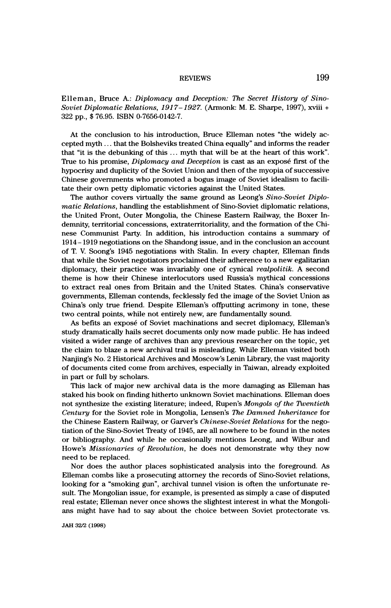# REVIEWS 199

 Elleman, Bruce A.: Diplomacy and Deception: The Secret History of Sino- Soviet Diplomatie Relations, 1917-1927. (Armonk: M. E. Sharpe, 1997), xviii + 322 pp., \$ 76.95. ISBN 0-7656-0142-7.

 At the conclusion to his introduction, Bruce Elleman notes "the widely ac cepted myth . . . that the Bolsheviks treated China equally" and informs the reader that "it is the debunking of this  $\dots$  myth that will be at the heart of this work". True to his promise, *Diplomacy and Deception* is cast as an exposé first of the hypocrisy and duplicity of the Soviet Union and then of the myopia of successive Chinese governments who promoted a bogus image of Soviet idealism to facili tate their own petty diplomatic victories against the United States.

The author covers virtually the same ground as Leong's Sino-Soviet Diplomatic Relations, handling the establishment of Sino-Soviet diplomatic relations, the United Front, Outer Mongolia, the Chinese Eastern Railway, the Boxer In demnity, territorial concessions, extraterritoriality, and the formation of the Chi nese Communist Party. In addition, his introduction contains a summary of 1914- 1919 negotiations on the Shandong issue, and in the conclusion an account of T. V. Soong's 1945 negotiations with Stalin. In every chapter, Elleman finds that while the Soviet negotiators proclaimed their adherence to a new egalitarian diplomacy, their practice was invariably one of cynical realpolitik. A second theme is how their Chinese interlocutors used Russia's mythical concessions to extract real ones from Britain and the United States. China's conservative governments, Elleman contends, fecklessly fed the image of the Soviet Union as China's only true friend. Despite Elleman's offputting acrimony in tone, these two central points, while not entirely new, are fundamentally sound.

 As befits an exposé of Soviet machinations and secret diplomacy, Elleman's study dramatically hails secret documents only now made public. He has indeed visited a wider range of archives than any previous researcher on the topic, yet the claim to blaze a new archival trail is misleading. While Elleman visited both Nanjing's No. 2 Historical Archives and Moscow's Lenin Library, the vast majority of documents cited come from archives, especially in Taiwan, already exploited in part or full by scholars.

This lack of major new archival data is the more damaging as Elleman has staked his book on finding hitherto unknown Soviet machinations. Elleman does not synthesize the existing literature; indeed, Rupen's Mongols of the Twentieth Century for the Soviet role in Mongolia, Lensen's The Damned Inheritance for the Chinese Eastern Railway, or Garver's Chinese-Soviet Relations for the nego tiation of the Sino-Soviet Treaty of 1945, are all nowhere to be found in the notes or bibliography. And while he occasionally mentions Leong, and Wilbur and Howe's Missionaries of Revolution, he does not demonstrate why they now need to be replaced.

 Nor does the author places sophisticated analysis into the foreground. As Elleman combs like a prosecuting attorney the records of Sino-Soviet relations, looking for a "smoking gun", archival tunnel vision is often the unfortunate re sult. The Mongolian issue, for example, is presented as simply a case of disputed real estate; Elleman never once shows the slightest interest in what the Mongoli ans might have had to say about the choice between Soviet protectorate vs.

JAH 32/2 (1998)